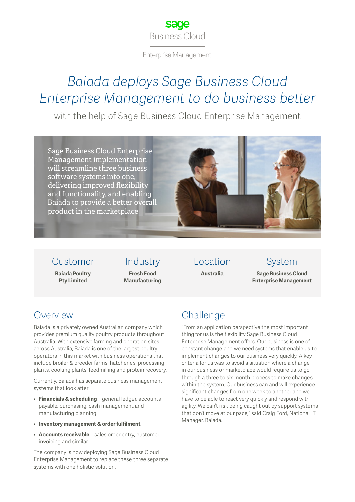

**Enterprise Management** 

## *Baiada deploys Sage Business Cloud Enterprise Management to do business better*

with the help of Sage Business Cloud Enterprise Management

Sage Business Cloud Enterprise Management implementation will streamline three business software systems into one, delivering improved flexibility and functionality, and enabling Baiada to provide a better overall product in the marketplace



#### Customer

**Baiada Poultry Pty Limited**

Industry **Fresh Food** 

**Manufacturing**

Location

**Australia**

#### System

**Sage Business Cloud Enterprise Management**

#### Overview

Baiada is a privately owned Australian company which provides premium quality poultry products throughout Australia. With extensive farming and operation sites across Australia, Baiada is one of the largest poultry operators in this market with business operations that include broiler & breeder farms, hatcheries, processing plants, cooking plants, feedmilling and protein recovery.

Currently, Baiada has separate business management systems that look after:

- **Financials & scheduling** general ledger, accounts payable, purchasing, cash management and manufacturing planning
- **Inventory management & order fulfilment**
- **Accounts receivable** sales order entry, customer invoicing and similar

The company is now deploying Sage Business Cloud Enterprise Management to replace these three separate systems with one holistic solution.

### **Challenge**

"From an application perspective the most important thing for us is the flexibility Sage Business Cloud Enterprise Management offers. Our business is one of constant change and we need systems that enable us to implement changes to our business very quickly. A key criteria for us was to avoid a situation where a change in our business or marketplace would require us to go through a three to six month process to make changes within the system. Our business can and will experience significant changes from one week to another and we have to be able to react very quickly and respond with agility. We can't risk being caught out by support systems that don't move at our pace," said Craig Ford, National IT Manager, Baiada.